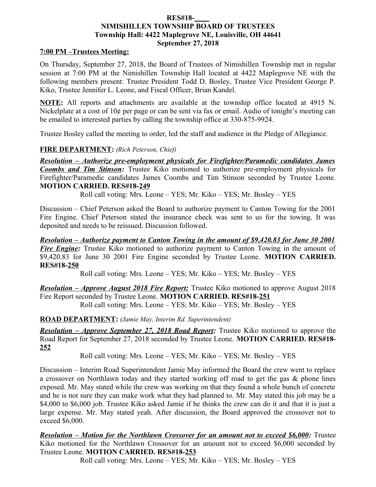#### **RES#18-\_\_\_\_ NIMISHILLEN TOWNSHIP BOARD OF TRUSTEES Township Hall: 4422 Maplegrove NE, Louisville, OH 44641 September 27, 2018**

### **7:00 PM –Trustees Meeting:**

On Thursday, September 27, 2018, the Board of Trustees of Nimishillen Township met in regular session at 7:00 PM at the Nimishillen Township Hall located at 4422 Maplegrove NE with the following members present: Trustee President Todd D. Bosley, Trustee Vice President George P. Kiko, Trustee Jennifer L. Leone, and Fiscal Officer, Brian Kandel.

**NOTE:** All reports and attachments are available at the township office located at 4915 N. Nickelplate at a cost of 10¢ per page or can be sent via fax or email. Audio of tonight's meeting can be emailed to interested parties by calling the township office at 330-875-9924.

Trustee Bosley called the meeting to order, led the staff and audience in the Pledge of Allegiance.

## **FIRE DEPARTMENT:** *(Rich Peterson, Chief)*

*Resolution – Authorize pre-employment physicals for Firefighter/Paramedic candidates James Coombs and Tim Stinson:* Trustee Kiko motioned to authorize pre-employment physicals for Firefighter/Paramedic candidates James Coombs and Tim Stinson seconded by Trustee Leone. **MOTION CARRIED. RES#18-249**

Roll call voting: Mrs. Leone – YES; Mr. Kiko – YES; Mr. Bosley – YES

Discussion – Chief Peterson asked the Board to authorize payment to Canton Towing for the 2001 Fire Engine. Chief Peterson stated the insurance check was sent to us for the towing. It was deposited and needs to be reissued. Discussion followed.

*Resolution – Authorize payment to Canton Towing in the amount of \$9,420.83 for June 30 2001 Fire Engine:* Trustee Kiko motioned to authorize payment to Canton Towing in the amount of \$9,420.83 for June 30 2001 Fire Engine seconded by Trustee Leone. **MOTION CARRIED. RES#18-250**

Roll call voting: Mrs. Leone – YES; Mr. Kiko – YES; Mr. Bosley – YES

*Resolution – Approve August 2018 Fire Report:* Trustee Kiko motioned to approve August 2018 Fire Report seconded by Trustee Leone. **MOTION CARRIED. RES#18-251**

Roll call voting: Mrs. Leone – YES; Mr. Kiko – YES; Mr. Bosley – YES

**ROAD DEPARTMENT:** *(Jamie May, Interim Rd. Superintendent)*

*Resolution – Approve September 27, 2018 Road Report:* Trustee Kiko motioned to approve the Road Report for September 27, 2018 seconded by Trustee Leone. **MOTION CARRIED. RES#18- 252**

Roll call voting: Mrs. Leone – YES; Mr. Kiko – YES; Mr. Bosley – YES

Discussion – Interim Road Superintendent Jamie May informed the Board the crew went to replace a crossover on Northlawn today and they started working off road to get the gas & phone lines exposed. Mr. May stated while the crew was working on that they found a whole bunch of concrete and he is not sure they can make work what they had planned to. Mr. May stated this job may be a \$4,000 to \$6,000 job. Trustee Kiko asked Jamie if he thinks the crew can do it and that it is just a large expense. Mr. May stated yeah. After discussion, the Board approved the crossover not to exceed \$6,000.

*Resolution – Motion for the Northlawn Crossover for an amount not to exceed \$6,000:* **Trustee** Kiko motioned for the Northlawn Crossover for an amount not to exceed \$6,000 seconded by Trustee Leone. **MOTION CARRIED. RES#18-253**

Roll call voting: Mrs. Leone – YES; Mr. Kiko – YES; Mr. Bosley – YES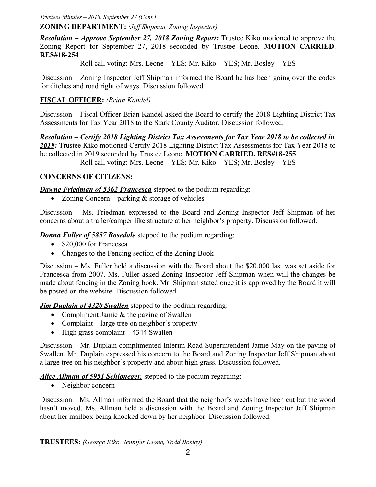*Trustees Minutes – 2018, September 27 (Cont.)*

**ZONING DEPARTMENT:** *(Jeff Shipman, Zoning Inspector)*

*Resolution – Approve September 27, 2018 Zoning Report:* Trustee Kiko motioned to approve the Zoning Report for September 27, 2018 seconded by Trustee Leone. **MOTION CARRIED. RES#18-254**

Roll call voting: Mrs. Leone – YES; Mr. Kiko – YES; Mr. Bosley – YES

Discussion – Zoning Inspector Jeff Shipman informed the Board he has been going over the codes for ditches and road right of ways. Discussion followed.

# **FISCAL OFFICER:** *(Brian Kandel)*

Discussion – Fiscal Officer Brian Kandel asked the Board to certify the 2018 Lighting District Tax Assessments for Tax Year 2018 to the Stark County Auditor. Discussion followed.

*Resolution – Certify 2018 Lighting District Tax Assessments for Tax Year 2018 to be collected in 2019:* Trustee Kiko motioned Certify 2018 Lighting District Tax Assessments for Tax Year 2018 to be collected in 2019 seconded by Trustee Leone. **MOTION CARRIED. RES#18-255** Roll call voting: Mrs. Leone – YES; Mr. Kiko – YES; Mr. Bosley – YES

# **CONCERNS OF CITIZENS:**

**Dawne Friedman of 5362 Francesca** stepped to the podium regarding:

• Zoning Concern – parking  $&$  storage of vehicles

Discussion – Ms. Friedman expressed to the Board and Zoning Inspector Jeff Shipman of her concerns about a trailer/camper like structure at her neighbor's property. Discussion followed.

*Donna Fuller of 5857 Rosedale* stepped to the podium regarding:

- \$20,000 for Francesca
- Changes to the Fencing section of the Zoning Book

Discussion – Ms. Fuller held a discussion with the Board about the \$20,000 last was set aside for Francesca from 2007. Ms. Fuller asked Zoning Inspector Jeff Shipman when will the changes be made about fencing in the Zoning book. Mr. Shipman stated once it is approved by the Board it will be posted on the website. Discussion followed.

*Jim Duplain of 4320 Swallen* stepped to the podium regarding:

- Compliment Jamie & the paving of Swallen
- Complaint large tree on neighbor's property
- $\bullet$  High grass complaint 4344 Swallen

Discussion – Mr. Duplain complimented Interim Road Superintendent Jamie May on the paving of Swallen. Mr. Duplain expressed his concern to the Board and Zoning Inspector Jeff Shipman about a large tree on his neighbor's property and about high grass. Discussion followed.

*Alice Allman of 5951 Schloneger.* stepped to the podium regarding:

• Neighbor concern

Discussion – Ms. Allman informed the Board that the neighbor's weeds have been cut but the wood hasn't moved. Ms. Allman held a discussion with the Board and Zoning Inspector Jeff Shipman about her mailbox being knocked down by her neighbor. Discussion followed.

**TRUSTEES:** *(George Kiko, Jennifer Leone, Todd Bosley)*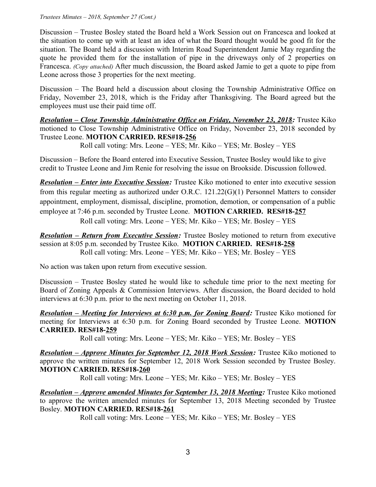#### *Trustees Minutes – 2018, September 27 (Cont.)*

Discussion – Trustee Bosley stated the Board held a Work Session out on Francesca and looked at the situation to come up with at least an idea of what the Board thought would be good fit for the situation. The Board held a discussion with Interim Road Superintendent Jamie May regarding the quote he provided them for the installation of pipe in the driveways only of 2 properties on Francesca. *(Copy attached)* After much discussion, the Board asked Jamie to get a quote to pipe from Leone across those 3 properties for the next meeting.

Discussion – The Board held a discussion about closing the Township Administrative Office on Friday, November 23, 2018, which is the Friday after Thanksgiving. The Board agreed but the employees must use their paid time off.

 *Resolution – Close Township Administrative Office on Friday, November 23, 2018:* Trustee Kiko motioned to Close Township Administrative Office on Friday, November 23, 2018 seconded by Trustee Leone. **MOTION CARRIED. RES#18-256**

Roll call voting: Mrs. Leone – YES; Mr. Kiko – YES; Mr. Bosley – YES

Discussion – Before the Board entered into Executive Session, Trustee Bosley would like to give credit to Trustee Leone and Jim Renie for resolving the issue on Brookside. Discussion followed.

*Resolution – Enter into Executive Session:* Trustee Kiko motioned to enter into executive session from this regular meeting as authorized under O.R.C. 121.22(G)(1) Personnel Matters to consider appointment, employment, dismissal, discipline, promotion, demotion, or compensation of a public employee at 7:46 p.m. seconded by Trustee Leone. **MOTION CARRIED. RES#18-257** Roll call voting: Mrs. Leone – YES; Mr. Kiko – YES; Mr. Bosley – YES

*Resolution – Return from Executive Session:* Trustee Bosley motioned to return from executive session at 8:05 p.m. seconded by Trustee Kiko. **MOTION CARRIED. RES#18-258** Roll call voting: Mrs. Leone – YES; Mr. Kiko – YES; Mr. Bosley – YES

No action was taken upon return from executive session.

Discussion – Trustee Bosley stated he would like to schedule time prior to the next meeting for Board of Zoning Appeals & Commission Interviews. After discussion, the Board decided to hold interviews at 6:30 p.m. prior to the next meeting on October 11, 2018.

*Resolution – Meeting for Interviews at 6:30 p.m. for Zoning Board: Trustee Kiko motioned for* meeting for Interviews at 6:30 p.m. for Zoning Board seconded by Trustee Leone. **MOTION CARRIED. RES#18-259**

Roll call voting: Mrs. Leone – YES; Mr. Kiko – YES; Mr. Bosley – YES

*Resolution – Approve Minutes for September 12, 2018 Work Session:* Trustee Kiko motioned to approve the written minutes for September 12, 2018 Work Session seconded by Trustee Bosley. **MOTION CARRIED. RES#18-260**

Roll call voting: Mrs. Leone – YES; Mr. Kiko – YES; Mr. Bosley – YES

*Resolution – Approve amended Minutes for September 13, 2018 Meeting:* **Trustee Kiko motioned** to approve the written amended minutes for September 13, 2018 Meeting seconded by Trustee Bosley. **MOTION CARRIED. RES#18-261**

Roll call voting: Mrs. Leone – YES; Mr. Kiko – YES; Mr. Bosley – YES